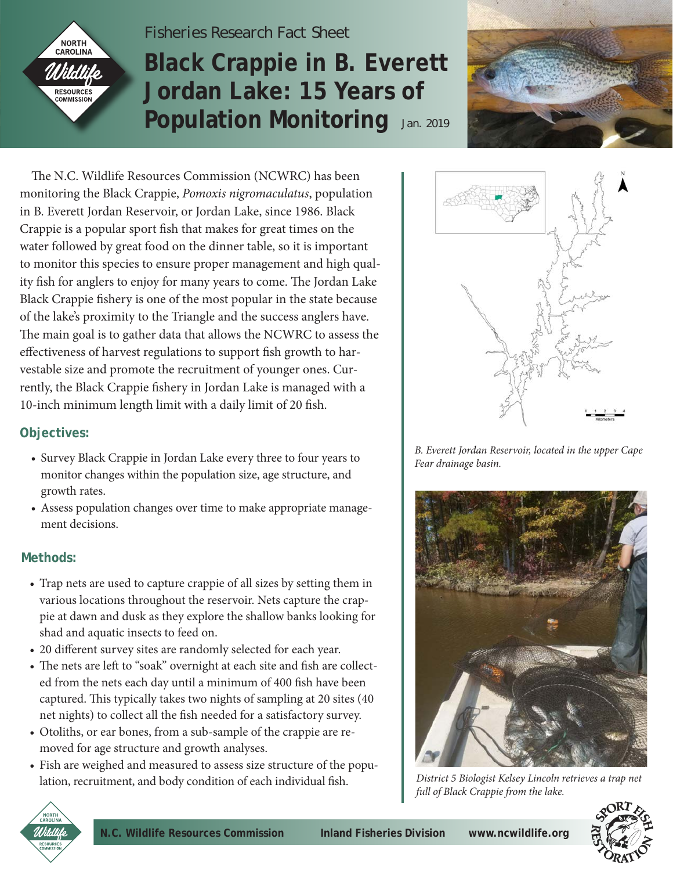

# *Fisheries Research Fact Sheet* **Black Crappie in B. Everett Jordan Lake: 15 Years of Population Monitoring** Jan. 2019



 The N.C. Wildlife Resources Commission (NCWRC) has been monitoring the Black Crappie, *Pomoxis nigromaculatus*, population in B. Everett Jordan Reservoir, or Jordan Lake, since 1986. Black Crappie is a popular sport fish that makes for great times on the water followed by great food on the dinner table, so it is important to monitor this species to ensure proper management and high quality fish for anglers to enjoy for many years to come. The Jordan Lake Black Crappie fishery is one of the most popular in the state because of the lake's proximity to the Triangle and the success anglers have. The main goal is to gather data that allows the NCWRC to assess the effectiveness of harvest regulations to support fish growth to harvestable size and promote the recruitment of younger ones. Currently, the Black Crappie fishery in Jordan Lake is managed with a 10-inch minimum length limit with a daily limit of 20 fish.

### **Objectives:**

- Survey Black Crappie in Jordan Lake every three to four years to monitor changes within the population size, age structure, and growth rates.
- Assess population changes over time to make appropriate management decisions.

## **Methods:**

- Trap nets are used to capture crappie of all sizes by setting them in various locations throughout the reservoir. Nets capture the crappie at dawn and dusk as they explore the shallow banks looking for shad and aquatic insects to feed on.
- 20 different survey sites are randomly selected for each year.
- The nets are left to "soak" overnight at each site and fish are collected from the nets each day until a minimum of 400 fish have been captured. This typically takes two nights of sampling at 20 sites (40 net nights) to collect all the fish needed for a satisfactory survey.
- Otoliths, or ear bones, from a sub-sample of the crappie are removed for age structure and growth analyses.
- Fish are weighed and measured to assess size structure of the population, recruitment, and body condition of each individual fish.



*B. Everett Jordan Reservoir, located in the upper Cape Fear drainage basin.*



*District 5 Biologist Kelsey Lincoln retrieves a trap net full of Black Crappie from the lake.*